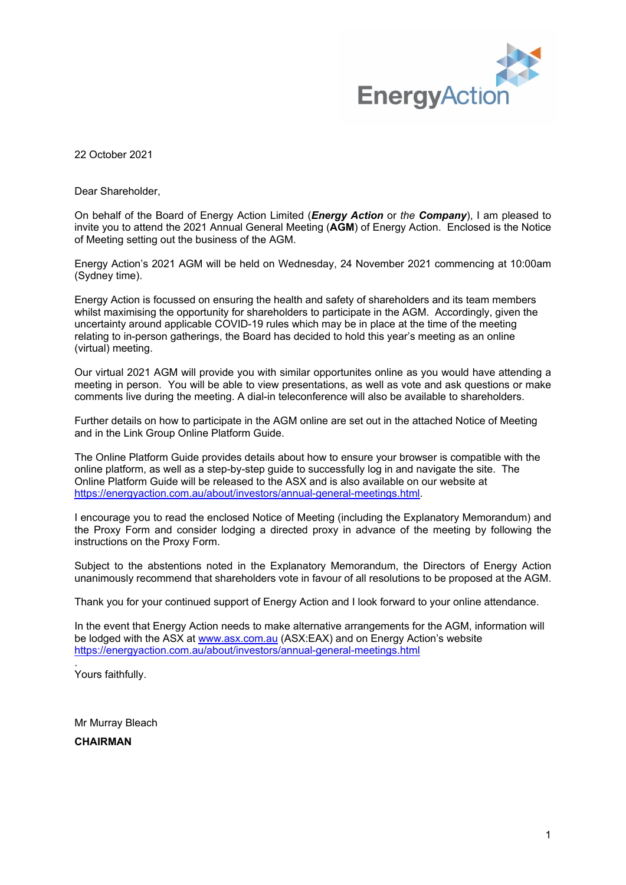

22 October 2021

Dear Shareholder,

On behalf of the Board of Energy Action Limited (*Energy Action* or *the Company*), I am pleased to invite you to attend the 2021 Annual General Meeting (**AGM**) of Energy Action. Enclosed is the Notice of Meeting setting out the business of the AGM.

Energy Action's 2021 AGM will be held on Wednesday, 24 November 2021 commencing at 10:00am (Sydney time).

Energy Action is focussed on ensuring the health and safety of shareholders and its team members whilst maximising the opportunity for shareholders to participate in the AGM. Accordingly, given the uncertainty around applicable COVID-19 rules which may be in place at the time of the meeting relating to in-person gatherings, the Board has decided to hold this year's meeting as an online (virtual) meeting.

Our virtual 2021 AGM will provide you with similar opportunites online as you would have attending a meeting in person. You will be able to view presentations, as well as vote and ask questions or make comments live during the meeting. A dial-in teleconference will also be available to shareholders.

Further details on how to participate in the AGM online are set out in the attached Notice of Meeting and in the Link Group Online Platform Guide.

The Online Platform Guide provides details about how to ensure your browser is compatible with the online platform, as well as a step-by-step guide to successfully log in and navigate the site. The Online Platform Guide will be released to the ASX and is also available on our website at https://energyaction.com.au/about/investors/annual-general-meetings.html.

I encourage you to read the enclosed Notice of Meeting (including the Explanatory Memorandum) and the Proxy Form and consider lodging a directed proxy in advance of the meeting by following the instructions on the Proxy Form.

Subject to the abstentions noted in the Explanatory Memorandum, the Directors of Energy Action unanimously recommend that shareholders vote in favour of all resolutions to be proposed at the AGM.

Thank you for your continued support of Energy Action and I look forward to your online attendance.

In the event that Energy Action needs to make alternative arrangements for the AGM, information will be lodged with the ASX at [www.asx.com.au](http://www.asx.com.au/) (ASX:EAX) and on Energy Action's website [https://energyaction.com.au/about/investors/annual-general-meetings.html](https://urldefense.com/v3/__https:/energyaction.com.au/about/investors/annual-general-meetings.html__;!!GEb1pAs!Wn0o8XCfcNj6AKsaFEgHnmfLxnE8AvHYxqy9SkOM2Sj6Lost8iAhoH7edwAa34USP6i_kzY3N-RPiRQ$)

. Yours faithfully.

Mr Murray Bleach

**CHAIRMAN**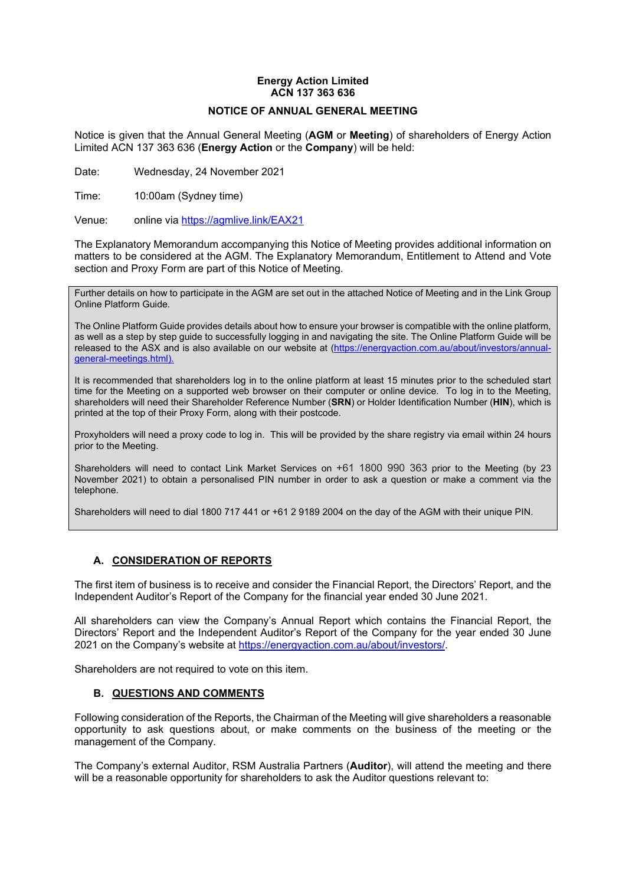# **Energy Action Limited ACN 137 363 636**

## **NOTICE OF ANNUAL GENERAL MEETING**

Notice is given that the Annual General Meeting (**AGM** or **Meeting**) of shareholders of Energy Action Limited ACN 137 363 636 (**Energy Action** or the **Company**) will be held:

Date: Wednesday, 24 November 2021

Time: 10:00am (Sydney time)

Venue: online via https://agmlive.link/EAX21

The Explanatory Memorandum accompanying this Notice of Meeting provides additional information on matters to be considered at the AGM. The Explanatory Memorandum, Entitlement to Attend and Vote section and Proxy Form are part of this Notice of Meeting.

Further details on how to participate in the AGM are set out in the attached Notice of Meeting and in the Link Group Online Platform Guide.

The Online Platform Guide provides details about how to ensure your browser is compatible with the online platform, as well as a step by step guide to successfully logging in and navigating the site. The Online Platform Guide will be released to the ASX and is also available on our website at [\(https://energyaction.com.au/about/investors/annual](https://investors.readytech.com.au/investor-centre/?page=asx-announcements).)[general-meetings.html\).](https://investors.readytech.com.au/investor-centre/?page=asx-announcements).)

It is recommended that shareholders log in to the online platform at least 15 minutes prior to the scheduled start time for the Meeting on a supported web browser on their computer or online device. To log in to the Meeting, shareholders will need their Shareholder Reference Number (**SRN**) or Holder Identification Number (**HIN**), which is printed at the top of their Proxy Form, along with their postcode.

Proxyholders will need a proxy code to log in. This will be provided by the share registry via email within 24 hours prior to the Meeting.

Shareholders will need to contact Link Market Services on +61 1800 990 363 prior to the Meeting (by 23 November 2021) to obtain a personalised PIN number in order to ask a question or make a comment via the telephone.

Shareholders will need to dial 1800 717 441 or +61 2 9189 2004 on the day of the AGM with their unique PIN.

# **A. CONSIDERATION OF REPORTS**

The first item of business is to receive and consider the Financial Report, the Directors' Report, and the Independent Auditor's Report of the Company for the financial year ended 30 June 2021.

All shareholders can view the Company's Annual Report which contains the Financial Report, the Directors' Report and the Independent Auditor's Report of the Company for the year ended 30 June 2021 on the Company's website at https://energyaction.com.au/about/investors/.

Shareholders are not required to vote on this item.

### **B. QUESTIONS AND COMMENTS**

Following consideration of the Reports, the Chairman of the Meeting will give shareholders a reasonable opportunity to ask questions about, or make comments on the business of the meeting or the management of the Company.

The Company's external Auditor, RSM Australia Partners (**Auditor**), will attend the meeting and there will be a reasonable opportunity for shareholders to ask the Auditor questions relevant to: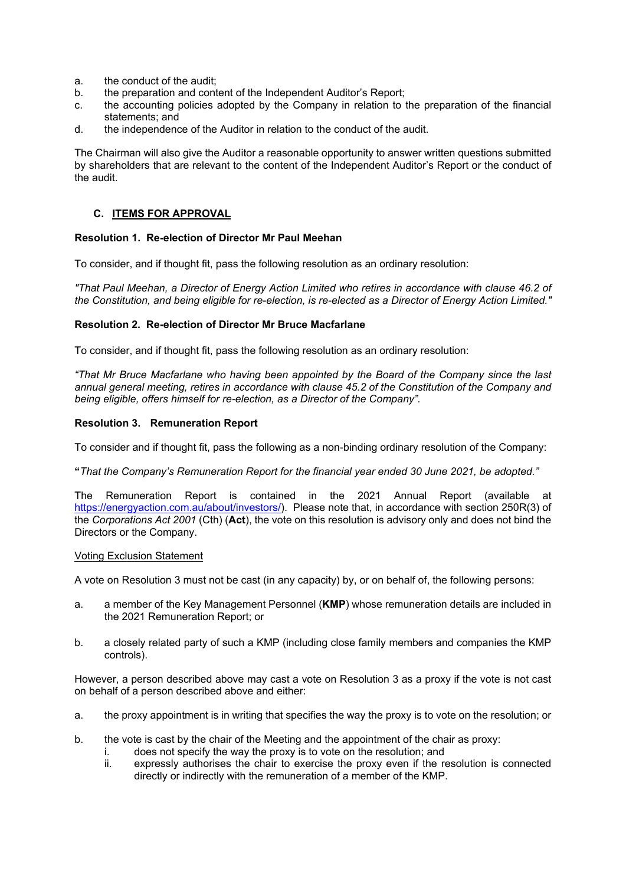- a. the conduct of the audit;
- b. the preparation and content of the Independent Auditor's Report;
- c. the accounting policies adopted by the Company in relation to the preparation of the financial statements; and
- d. the independence of the Auditor in relation to the conduct of the audit.

The Chairman will also give the Auditor a reasonable opportunity to answer written questions submitted by shareholders that are relevant to the content of the Independent Auditor's Report or the conduct of the audit.

# **C. ITEMS FOR APPROVAL**

# **Resolution 1. Re-election of Director Mr Paul Meehan**

To consider, and if thought fit, pass the following resolution as an ordinary resolution:

*"That Paul Meehan, a Director of Energy Action Limited who retires in accordance with clause 46.2 of the Constitution, and being eligible for re-election, is re-elected as a Director of Energy Action Limited."*

## **Resolution 2. Re-election of Director Mr Bruce Macfarlane**

To consider, and if thought fit, pass the following resolution as an ordinary resolution:

*"That Mr Bruce Macfarlane who having been appointed by the Board of the Company since the last annual general meeting, retires in accordance with clause 45.2 of the Constitution of the Company and being eligible, offers himself for re-election, as a Director of the Company".*

## **Resolution 3. Remuneration Report**

To consider and if thought fit, pass the following as a non-binding ordinary resolution of the Company:

**"***That the Company's Remuneration Report for the financial year ended 30 June 2021, be adopted."*

The Remuneration Report is contained in the 2021 Annual Report (available at https://energyaction.com.au/about/investors/). Please note that, in accordance with section 250R(3) of the *Corporations Act 2001* (Cth) (**Act**), the vote on this resolution is advisory only and does not bind the Directors or the Company.

### Voting Exclusion Statement

A vote on Resolution 3 must not be cast (in any capacity) by, or on behalf of, the following persons:

- a. a member of the Key Management Personnel (**KMP**) whose remuneration details are included in the 2021 Remuneration Report; or
- b. a closely related party of such a KMP (including close family members and companies the KMP controls).

However, a person described above may cast a vote on Resolution 3 as a proxy if the vote is not cast on behalf of a person described above and either:

- a. the proxy appointment is in writing that specifies the way the proxy is to vote on the resolution; or
- b. the vote is cast by the chair of the Meeting and the appointment of the chair as proxy:
	- i. does not specify the way the proxy is to vote on the resolution; and
	- ii. expressly authorises the chair to exercise the proxy even if the resolution is connected directly or indirectly with the remuneration of a member of the KMP.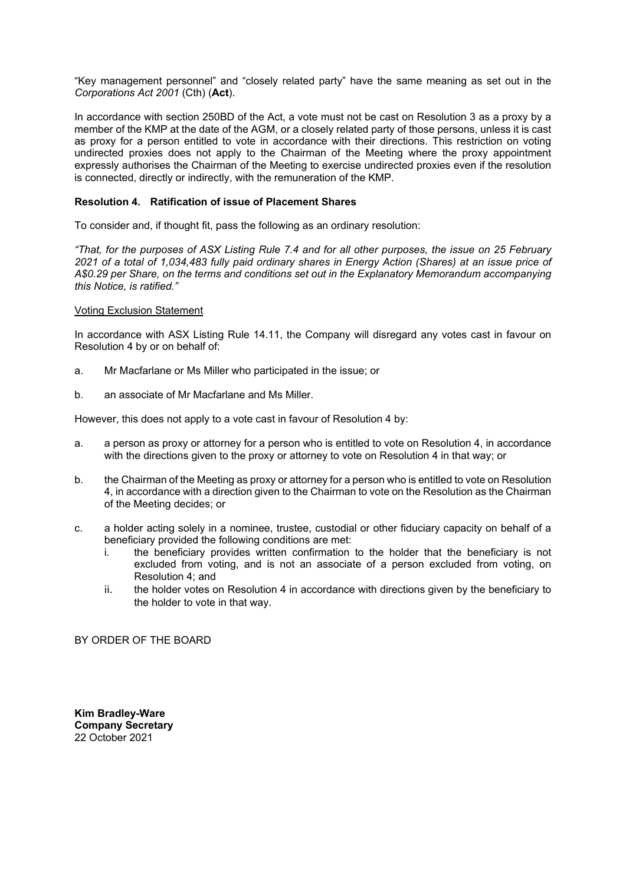"Key management personnel" and "closely related party" have the same meaning as set out in the *Corporations Act 2001* (Cth) (**Act**).

In accordance with section 250BD of the Act, a vote must not be cast on Resolution 3 as a proxy by a member of the KMP at the date of the AGM, or a closely related party of those persons, unless it is cast as proxy for a person entitled to vote in accordance with their directions. This restriction on voting undirected proxies does not apply to the Chairman of the Meeting where the proxy appointment expressly authorises the Chairman of the Meeting to exercise undirected proxies even if the resolution is connected, directly or indirectly, with the remuneration of the KMP.

## **Resolution 4. Ratification of issue of Placement Shares**

To consider and, if thought fit, pass the following as an ordinary resolution:

*"That, for the purposes of ASX Listing Rule 7.4 and for all other purposes, the issue on 25 February 2021 of a total of 1,034,483 fully paid ordinary shares in Energy Action (Shares) at an issue price of A\$0.29 per Share, on the terms and conditions set out in the Explanatory Memorandum accompanying this Notice, is ratified."* 

## Voting Exclusion Statement

In accordance with ASX Listing Rule 14.11, the Company will disregard any votes cast in favour on Resolution 4 by or on behalf of:

- a. Mr Macfarlane or Ms Miller who participated in the issue; or
- b. an associate of Mr Macfarlane and Ms Miller.

However, this does not apply to a vote cast in favour of Resolution 4 by:

- a. a person as proxy or attorney for a person who is entitled to vote on Resolution 4, in accordance with the directions given to the proxy or attorney to vote on Resolution 4 in that way; or
- b. the Chairman of the Meeting as proxy or attorney for a person who is entitled to vote on Resolution 4, in accordance with a direction given to the Chairman to vote on the Resolution as the Chairman of the Meeting decides; or
- c. a holder acting solely in a nominee, trustee, custodial or other fiduciary capacity on behalf of a beneficiary provided the following conditions are met:
	- i. the beneficiary provides written confirmation to the holder that the beneficiary is not excluded from voting, and is not an associate of a person excluded from voting, on Resolution 4; and
	- ii. the holder votes on Resolution 4 in accordance with directions given by the beneficiary to the holder to vote in that way.

BY ORDER OF THE BOARD

**Kim Bradley-Ware Company Secretary** 22 October 2021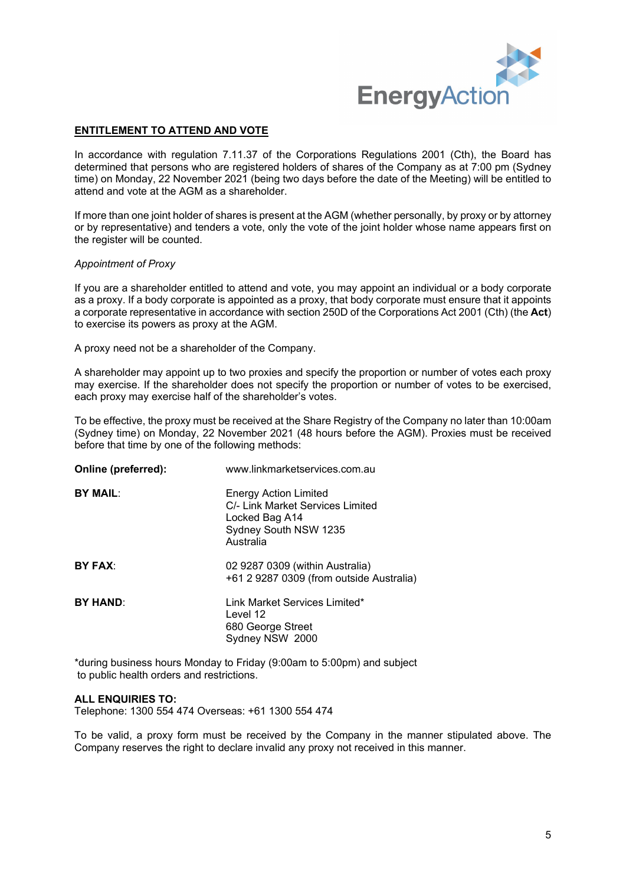

# **ENTITLEMENT TO ATTEND AND VOTE**

In accordance with regulation 7.11.37 of the Corporations Regulations 2001 (Cth), the Board has determined that persons who are registered holders of shares of the Company as at 7:00 pm (Sydney time) on Monday, 22 November 2021 (being two days before the date of the Meeting) will be entitled to attend and vote at the AGM as a shareholder.

If more than one joint holder of shares is present at the AGM (whether personally, by proxy or by attorney or by representative) and tenders a vote, only the vote of the joint holder whose name appears first on the register will be counted.

### *Appointment of Proxy*

If you are a shareholder entitled to attend and vote, you may appoint an individual or a body corporate as a proxy. If a body corporate is appointed as a proxy, that body corporate must ensure that it appoints a corporate representative in accordance with section 250D of the Corporations Act 2001 (Cth) (the **Act**) to exercise its powers as proxy at the AGM.

A proxy need not be a shareholder of the Company.

A shareholder may appoint up to two proxies and specify the proportion or number of votes each proxy may exercise. If the shareholder does not specify the proportion or number of votes to be exercised, each proxy may exercise half of the shareholder's votes.

To be effective, the proxy must be received at the Share Registry of the Company no later than 10:00am (Sydney time) on Monday, 22 November 2021 (48 hours before the AGM). Proxies must be received before that time by one of the following methods:

| www.linkmarketservices.com.au                                                                                            |
|--------------------------------------------------------------------------------------------------------------------------|
| <b>Energy Action Limited</b><br>C/- Link Market Services Limited<br>Locked Bag A14<br>Sydney South NSW 1235<br>Australia |
| 02 9287 0309 (within Australia)<br>+61 2 9287 0309 (from outside Australia)                                              |
| Link Market Services Limited*<br>Level 12<br>680 George Street<br>Sydney NSW 2000                                        |
|                                                                                                                          |

\*during business hours Monday to Friday (9:00am to 5:00pm) and subject to public health orders and restrictions.

### **ALL ENQUIRIES TO:**

Telephone: 1300 554 474 Overseas: +61 1300 554 474

To be valid, a proxy form must be received by the Company in the manner stipulated above. The Company reserves the right to declare invalid any proxy not received in this manner.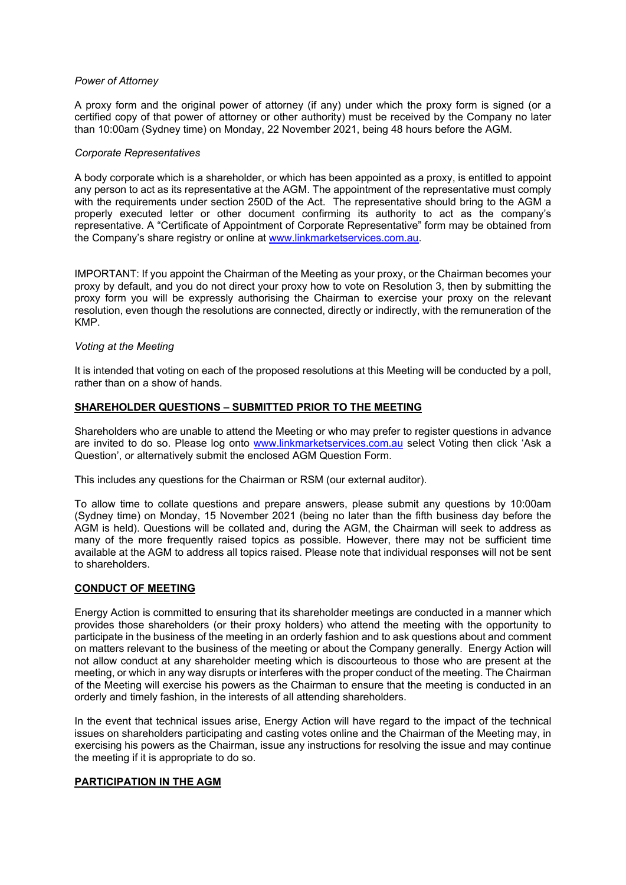### *Power of Attorney*

A proxy form and the original power of attorney (if any) under which the proxy form is signed (or a certified copy of that power of attorney or other authority) must be received by the Company no later than 10:00am (Sydney time) on Monday, 22 November 2021, being 48 hours before the AGM.

### *Corporate Representatives*

A body corporate which is a shareholder, or which has been appointed as a proxy, is entitled to appoint any person to act as its representative at the AGM. The appointment of the representative must comply with the requirements under section 250D of the Act. The representative should bring to the AGM a properly executed letter or other document confirming its authority to act as the company's representative. A "Certificate of Appointment of Corporate Representative" form may be obtained from the Company's share registry or online at [www.linkmarketservices.com.au.](http://www.linkmarketservices.com.au/)

IMPORTANT: If you appoint the Chairman of the Meeting as your proxy, or the Chairman becomes your proxy by default, and you do not direct your proxy how to vote on Resolution 3, then by submitting the proxy form you will be expressly authorising the Chairman to exercise your proxy on the relevant resolution, even though the resolutions are connected, directly or indirectly, with the remuneration of the KMP.

## *Voting at the Meeting*

It is intended that voting on each of the proposed resolutions at this Meeting will be conducted by a poll, rather than on a show of hands.

## **SHAREHOLDER QUESTIONS – SUBMITTED PRIOR TO THE MEETING**

Shareholders who are unable to attend the Meeting or who may prefer to register questions in advance are invited to do so. Please log onto [www.linkmarketservices.com.au](http://www.linkmarketservices.com.au/) select Voting then click 'Ask a Question', or alternatively submit the enclosed AGM Question Form.

This includes any questions for the Chairman or RSM (our external auditor).

To allow time to collate questions and prepare answers, please submit any questions by 10:00am (Sydney time) on Monday, 15 November 2021 (being no later than the fifth business day before the AGM is held). Questions will be collated and, during the AGM, the Chairman will seek to address as many of the more frequently raised topics as possible. However, there may not be sufficient time available at the AGM to address all topics raised. Please note that individual responses will not be sent to shareholders.

### **CONDUCT OF MEETING**

Energy Action is committed to ensuring that its shareholder meetings are conducted in a manner which provides those shareholders (or their proxy holders) who attend the meeting with the opportunity to participate in the business of the meeting in an orderly fashion and to ask questions about and comment on matters relevant to the business of the meeting or about the Company generally. Energy Action will not allow conduct at any shareholder meeting which is discourteous to those who are present at the meeting, or which in any way disrupts or interferes with the proper conduct of the meeting. The Chairman of the Meeting will exercise his powers as the Chairman to ensure that the meeting is conducted in an orderly and timely fashion, in the interests of all attending shareholders.

In the event that technical issues arise, Energy Action will have regard to the impact of the technical issues on shareholders participating and casting votes online and the Chairman of the Meeting may, in exercising his powers as the Chairman, issue any instructions for resolving the issue and may continue the meeting if it is appropriate to do so.

# **PARTICIPATION IN THE AGM**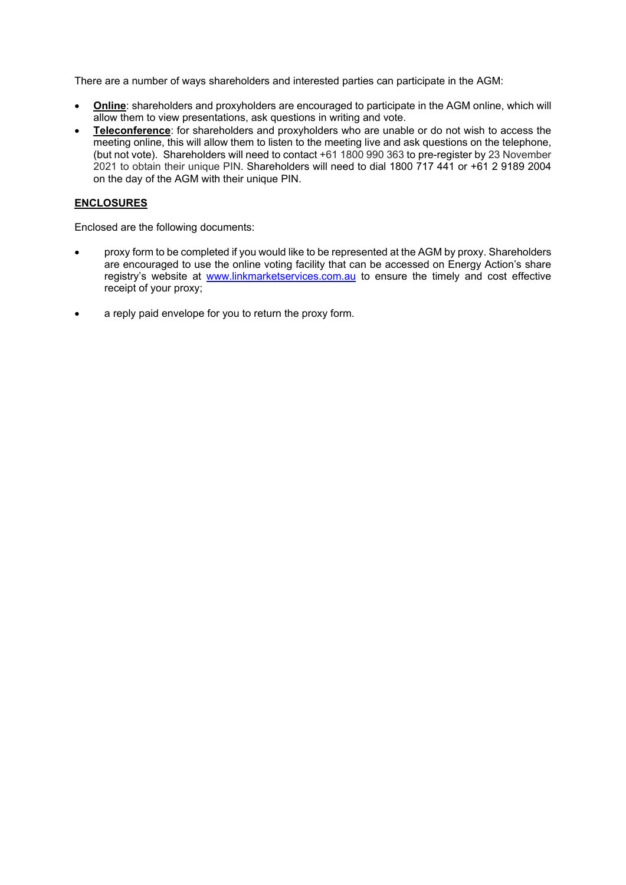There are a number of ways shareholders and interested parties can participate in the AGM:

- **Online**: shareholders and proxyholders are encouraged to participate in the AGM online, which will allow them to view presentations, ask questions in writing and vote.
- **Teleconference**: for shareholders and proxyholders who are unable or do not wish to access the meeting online, this will allow them to listen to the meeting live and ask questions on the telephone, (but not vote). Shareholders will need to contact +61 1800 990 363 to pre-register by 23 November 2021 to obtain their unique PIN. Shareholders will need to dial 1800 717 441 or +61 2 9189 2004 on the day of the AGM with their unique PIN.

# **ENCLOSURES**

Enclosed are the following documents:

- proxy form to be completed if you would like to be represented at the AGM by proxy. Shareholders are encouraged to use the online voting facility that can be accessed on Energy Action's share registry's website at [www.linkmarketservices.com.au](http://www.linkmarketservices.com.au/) to ensure the timely and cost effective receipt of your proxy;
- a reply paid envelope for you to return the proxy form.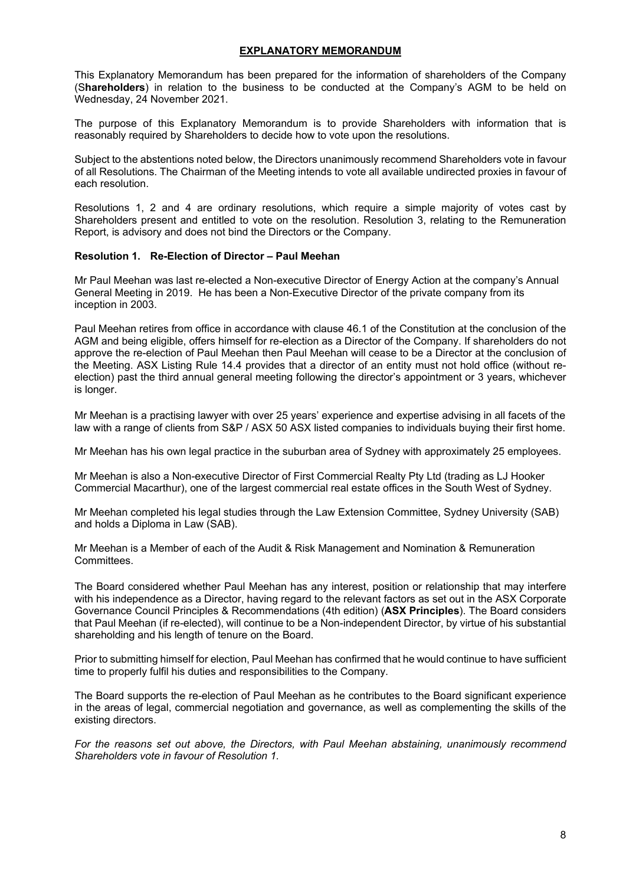## **EXPLANATORY MEMORANDUM**

This Explanatory Memorandum has been prepared for the information of shareholders of the Company (S**hareholders**) in relation to the business to be conducted at the Company's AGM to be held on Wednesday, 24 November 2021.

The purpose of this Explanatory Memorandum is to provide Shareholders with information that is reasonably required by Shareholders to decide how to vote upon the resolutions.

Subject to the abstentions noted below, the Directors unanimously recommend Shareholders vote in favour of all Resolutions. The Chairman of the Meeting intends to vote all available undirected proxies in favour of each resolution.

Resolutions 1, 2 and 4 are ordinary resolutions, which require a simple majority of votes cast by Shareholders present and entitled to vote on the resolution. Resolution 3, relating to the Remuneration Report, is advisory and does not bind the Directors or the Company.

### **Resolution 1. Re-Election of Director – Paul Meehan**

Mr Paul Meehan was last re-elected a Non-executive Director of Energy Action at the company's Annual General Meeting in 2019. He has been a Non-Executive Director of the private company from its inception in 2003.

Paul Meehan retires from office in accordance with clause 46.1 of the Constitution at the conclusion of the AGM and being eligible, offers himself for re-election as a Director of the Company. If shareholders do not approve the re-election of Paul Meehan then Paul Meehan will cease to be a Director at the conclusion of the Meeting. ASX Listing Rule 14.4 provides that a director of an entity must not hold office (without reelection) past the third annual general meeting following the director's appointment or 3 years, whichever is longer.

Mr Meehan is a practising lawyer with over 25 years' experience and expertise advising in all facets of the law with a range of clients from S&P / ASX 50 ASX listed companies to individuals buying their first home.

Mr Meehan has his own legal practice in the suburban area of Sydney with approximately 25 employees.

Mr Meehan is also a Non-executive Director of First Commercial Realty Pty Ltd (trading as LJ Hooker Commercial Macarthur), one of the largest commercial real estate offices in the South West of Sydney.

Mr Meehan completed his legal studies through the Law Extension Committee, Sydney University (SAB) and holds a Diploma in Law (SAB).

Mr Meehan is a Member of each of the Audit & Risk Management and Nomination & Remuneration **Committees** 

The Board considered whether Paul Meehan has any interest, position or relationship that may interfere with his independence as a Director, having regard to the relevant factors as set out in the ASX Corporate Governance Council Principles & Recommendations (4th edition) (**ASX Principles**). The Board considers that Paul Meehan (if re-elected), will continue to be a Non-independent Director, by virtue of his substantial shareholding and his length of tenure on the Board.

Prior to submitting himself for election, Paul Meehan has confirmed that he would continue to have sufficient time to properly fulfil his duties and responsibilities to the Company.

The Board supports the re-election of Paul Meehan as he contributes to the Board significant experience in the areas of legal, commercial negotiation and governance, as well as complementing the skills of the existing directors.

*For the reasons set out above, the Directors, with Paul Meehan abstaining, unanimously recommend Shareholders vote in favour of Resolution 1.*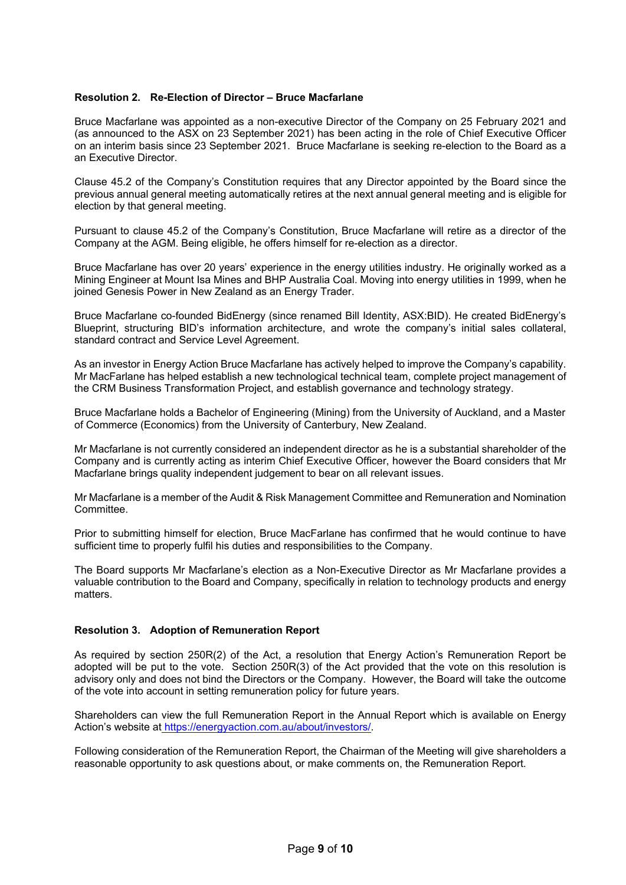## **Resolution 2. Re-Election of Director – Bruce Macfarlane**

Bruce Macfarlane was appointed as a non-executive Director of the Company on 25 February 2021 and (as announced to the ASX on 23 September 2021) has been acting in the role of Chief Executive Officer on an interim basis since 23 September 2021. Bruce Macfarlane is seeking re-election to the Board as a an Executive Director.

Clause 45.2 of the Company's Constitution requires that any Director appointed by the Board since the previous annual general meeting automatically retires at the next annual general meeting and is eligible for election by that general meeting.

Pursuant to clause 45.2 of the Company's Constitution, Bruce Macfarlane will retire as a director of the Company at the AGM. Being eligible, he offers himself for re-election as a director.

Bruce Macfarlane has over 20 years' experience in the energy utilities industry. He originally worked as a Mining Engineer at Mount Isa Mines and BHP Australia Coal. Moving into energy utilities in 1999, when he joined Genesis Power in New Zealand as an Energy Trader.

Bruce Macfarlane co-founded BidEnergy (since renamed Bill Identity, ASX:BID). He created BidEnergy's Blueprint, structuring BID's information architecture, and wrote the company's initial sales collateral, standard contract and Service Level Agreement.

As an investor in Energy Action Bruce Macfarlane has actively helped to improve the Company's capability. Mr MacFarlane has helped establish a new technological technical team, complete project management of the CRM Business Transformation Project, and establish governance and technology strategy.

Bruce Macfarlane holds a Bachelor of Engineering (Mining) from the University of Auckland, and a Master of Commerce (Economics) from the University of Canterbury, New Zealand.

Mr Macfarlane is not currently considered an independent director as he is a substantial shareholder of the Company and is currently acting as interim Chief Executive Officer, however the Board considers that Mr Macfarlane brings quality independent judgement to bear on all relevant issues.

Mr Macfarlane is a member of the Audit & Risk Management Committee and Remuneration and Nomination Committee.

Prior to submitting himself for election, Bruce MacFarlane has confirmed that he would continue to have sufficient time to properly fulfil his duties and responsibilities to the Company.

The Board supports Mr Macfarlane's election as a Non-Executive Director as Mr Macfarlane provides a valuable contribution to the Board and Company, specifically in relation to technology products and energy matters.

### **Resolution 3. Adoption of Remuneration Report**

As required by section 250R(2) of the Act, a resolution that Energy Action's Remuneration Report be adopted will be put to the vote. Section 250R(3) of the Act provided that the vote on this resolution is advisory only and does not bind the Directors or the Company. However, the Board will take the outcome of the vote into account in setting remuneration policy for future years.

Shareholders can view the full Remuneration Report in the Annual Report which is available on Energy Action's website at https://energyaction.com.au/about/investors/.

Following consideration of the Remuneration Report, the Chairman of the Meeting will give shareholders a reasonable opportunity to ask questions about, or make comments on, the Remuneration Report.